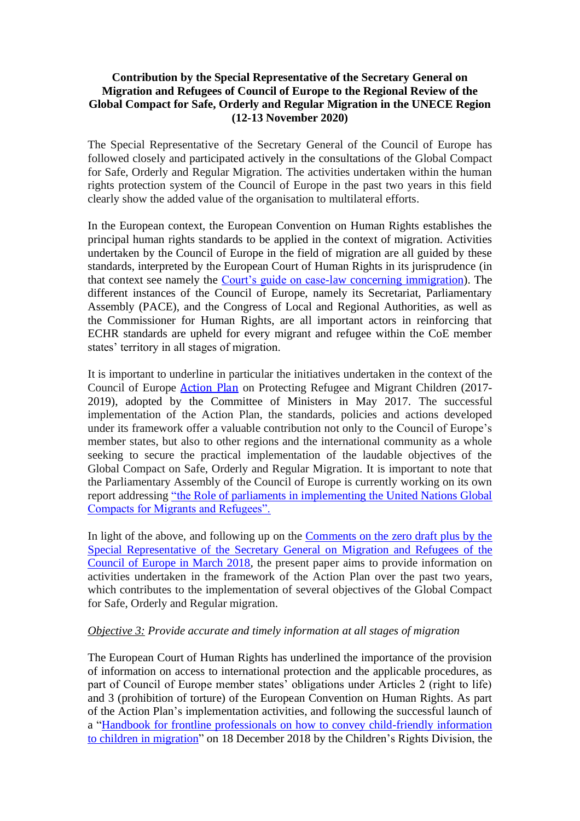## **Contribution by the Special Representative of the Secretary General on Migration and Refugees of Council of Europe to the Regional Review of the Global Compact for Safe, Orderly and Regular Migration in the UNECE Region (12-13 November 2020)**

The Special Representative of the Secretary General of the Council of Europe has followed closely and [participated actively in the consultations](https://www.coe.int/en/web/special-representative-secretary-general-migration-refugees/global-compacts) of the Global Compact for Safe, Orderly and Regular Migration. The activities undertaken within the human rights protection system of the Council of Europe in the past two years in this field clearly show the added value of the organisation to multilateral efforts.

In the European context, the European Convention on Human Rights establishes the principal human rights standards to be applied in the context of migration. Activities undertaken by the Council of Europe in the field of migration are all guided by these standards, interpreted by the European Court of Human Rights in its jurisprudence (in that context see namely the [Court's guide on case-law concerning immigration\)](https://www.echr.coe.int/Documents/Guide_Immigration_ENG.pdf). The different instances of the Council of Europe, namely its Secretariat, Parliamentary Assembly (PACE), and the Congress of Local and Regional Authorities, as well as the Commissioner for Human Rights, are all important actors in reinforcing that ECHR standards are upheld for every migrant and refugee within the CoE member states' territory in all stages of migration.

It is important to underline in particular the initiatives undertaken in the context of the Council of Europe [Action Plan](https://www.coe.int/en/web/special-representative-secretary-general-migration-refugees/action-plan) on Protecting Refugee and Migrant Children (2017- 2019), adopted by the Committee of Ministers in May 2017. The successful implementation of the Action Plan, the standards, policies and actions developed under its framework offer a valuable contribution not only to the Council of Europe's member states, but also to other regions and the international community as a whole seeking to secure the practical implementation of the laudable objectives of the Global Compact on Safe, Orderly and Regular Migration. It is important to note that the Parliamentary Assembly of the Council of Europe is currently working on its own report addressing ["the Role of parliaments in implementing the United Nations Global](https://pace.coe.int/en/files/25195)  [Compacts for Migrants and Refugees".](https://pace.coe.int/en/files/25195)

In light of the above, and following up on the [Comments on the zero draft plus by the](https://rm.coe.int/council-of-europe-srsg-on-migration-and-refugees-comments-on-the-zero-/16807bfbe2)  [Special Representative of the Secretary General on Migration and Refugees of the](https://rm.coe.int/council-of-europe-srsg-on-migration-and-refugees-comments-on-the-zero-/16807bfbe2)  [Council of Europe in March 2018,](https://rm.coe.int/council-of-europe-srsg-on-migration-and-refugees-comments-on-the-zero-/16807bfbe2) the present paper aims to provide information on activities undertaken in the framework of the Action Plan over the past two years, which contributes to the implementation of several objectives of the Global Compact for Safe, Orderly and Regular migration.

### *Objective 3: Provide accurate and timely information at all stages of migration*

The European Court of Human Rights has underlined the importance of the provision of information on access to international protection and the applicable procedures, as part of Council of Europe member states' obligations under Articles 2 (right to life) and 3 (prohibition of torture) of the European Convention on Human Rights. As part of the Action Plan's implementation activities, and following the successful launch of a ["Handbook for frontline professionals on how to convey child-friendly information](https://rm.coe.int/how-to-convey-child-friendly-information-to-children-in-migration-a-ha/1680902f91)  [to children in migration"](https://rm.coe.int/how-to-convey-child-friendly-information-to-children-in-migration-a-ha/1680902f91) on 18 December 2018 by the Children's Rights Division, the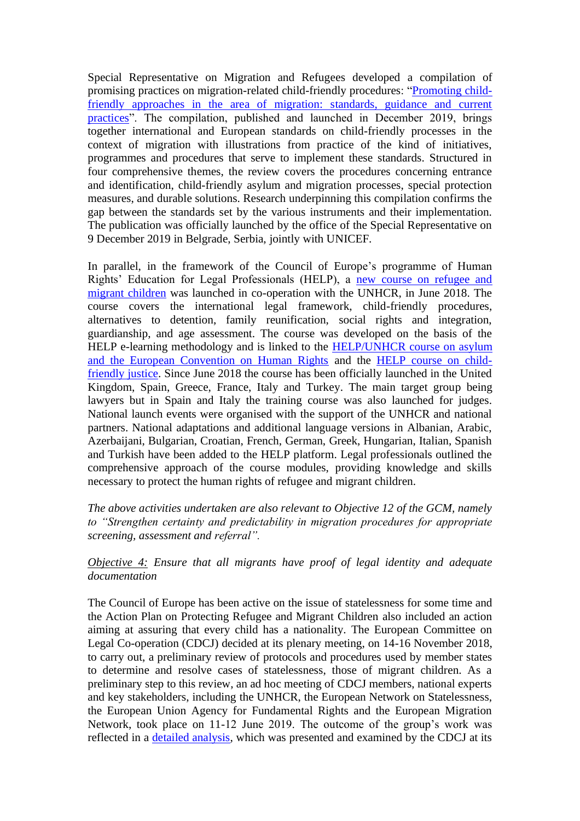Special Representative on Migration and Refugees developed a compilation of promising practices on migration-related child-friendly procedures: ["Promoting child](https://edoc.coe.int/en/refugees/8047-promoting-child-friendly-approaches-in-the-area-of-migration-standards-guidance-and-current-practices.html)[friendly approaches in the area of migration: standards, guidance and current](https://edoc.coe.int/en/refugees/8047-promoting-child-friendly-approaches-in-the-area-of-migration-standards-guidance-and-current-practices.html)  [practices"](https://edoc.coe.int/en/refugees/8047-promoting-child-friendly-approaches-in-the-area-of-migration-standards-guidance-and-current-practices.html). The compilation, published and launched in December 2019, brings together international and European standards on child-friendly processes in the context of migration with illustrations from practice of the kind of initiatives, programmes and procedures that serve to implement these standards. Structured in four comprehensive themes, the review covers the procedures concerning entrance and identification, child-friendly asylum and migration processes, special protection measures, and durable solutions. Research underpinning this compilation confirms the gap between the standards set by the various instruments and their implementation. The publication was officially launched by the office of the Special Representative on 9 December 2019 in Belgrade, Serbia, jointly with UNICEF.

In parallel, in the framework of the Council of Europe's programme of Human Rights' Education for Legal Professionals (HELP), a [new course on refugee and](https://rm.coe.int/help-course-brief-refugee-and-migrant-children/16808b4f45)  [migrant children](https://rm.coe.int/help-course-brief-refugee-and-migrant-children/16808b4f45) was launched in co-operation with the UNHCR, in June 2018. The course covers the international legal framework, child-friendly procedures, alternatives to detention, family reunification, social rights and integration, guardianship, and age assessment. The course was developed on the basis of the HELP e-learning methodology and is linked to the [HELP/UNHCR course on asylum](http://help.elearning.ext.coe.int/course/view.php?id=1653) [and the European Convention on Human Rights](http://help.elearning.ext.coe.int/course/view.php?id=1653) and the [HELP course on child](https://rm.coe.int/help-course-brief-child-friendly-justice/16808b4f27)[friendly justice.](https://rm.coe.int/help-course-brief-child-friendly-justice/16808b4f27) Since June 2018 the course has been officially launched in the United Kingdom, Spain, Greece, France, Italy and Turkey. The main target group being lawyers but in Spain and Italy the training course was also launched for judges. National launch events were organised with the support of the UNHCR and national partners. National adaptations and additional language versions in Albanian, Arabic, Azerbaijani, Bulgarian, Croatian, French, German, Greek, Hungarian, Italian, Spanish and Turkish have been added to the HELP platform. Legal professionals outlined the comprehensive approach of the course modules, providing knowledge and skills necessary to protect the human rights of refugee and migrant children.

*The above activities undertaken are also relevant to Objective 12 of the GCM, namely to "Strengthen certainty and predictability in migration procedures for appropriate screening, assessment and referral".* 

*Objective 4: Ensure that all migrants have proof of legal identity and adequate documentation* 

The Council of Europe has been active on the issue of statelessness for some time and the Action Plan on Protecting Refugee and Migrant Children also included an action aiming at assuring that every child has a nationality. The European Committee on Legal Co-operation (CDCJ) decided at its plenary meeting, on 14-16 November 2018, to carry out, a preliminary review of protocols and procedures used by member states to determine and resolve cases of statelessness, those of migrant children. As a preliminary step to this review, an ad hoc meeting of CDCJ members, national experts and key stakeholders, including the UNHCR, the European Network on Statelessness, the European Union Agency for Fundamental Rights and the European Migration Network, took place on 11-12 June 2019. The outcome of the group's work was reflected in a [detailed analysis,](https://rm.coe.int/analysis-statelessness-/1680990cc5) which was presented and examined by the CDCJ at its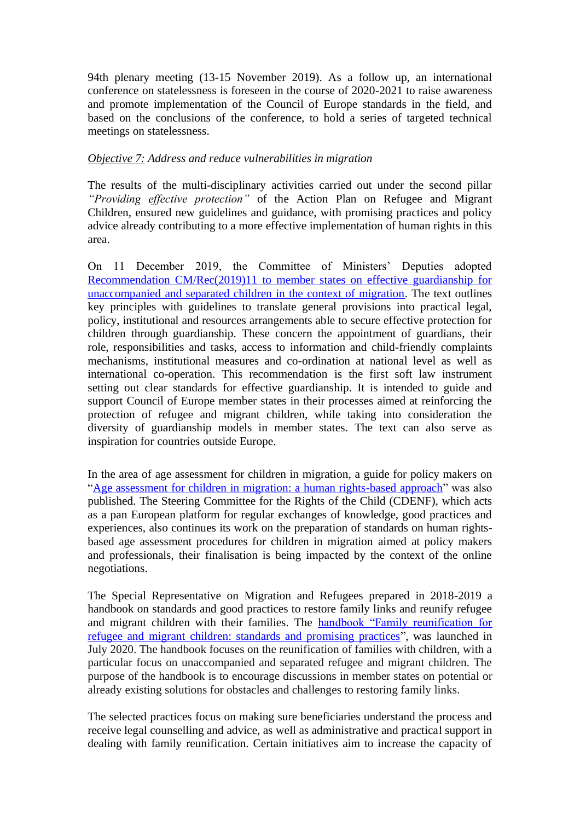94th plenary meeting (13-15 November 2019). As a follow up, an international conference on statelessness is foreseen in the course of 2020-2021 to raise awareness and promote implementation of the Council of Europe standards in the field, and based on the conclusions of the conference, to hold a series of targeted technical meetings on statelessness.

### *Objective 7: Address and reduce vulnerabilities in migration*

The results of the multi-disciplinary activities carried out under the second pillar *"Providing effective protection"* of the Action Plan on Refugee and Migrant Children, ensured new guidelines and guidance, with promising practices and policy advice already contributing to a more effective implementation of human rights in this area.

On 11 December 2019, the Committee of Ministers' Deputies adopted [Recommendation CM/Rec\(2019\)11 to member states on effective guardianship for](https://rm.coe.int/cm-rec-2019-11-guardianship-en/16809ccfe2)  [unaccompanied and separated children in the context of migration.](https://rm.coe.int/cm-rec-2019-11-guardianship-en/16809ccfe2) The text outlines key principles with guidelines to translate general provisions into practical legal, policy, institutional and resources arrangements able to secure effective protection for children through guardianship. These concern the appointment of guardians, their role, responsibilities and tasks, access to information and child-friendly complaints mechanisms, institutional measures and co-ordination at national level as well as international co-operation. This recommendation is the first soft law instrument setting out clear standards for effective guardianship. It is intended to guide and support Council of Europe member states in their processes aimed at reinforcing the protection of refugee and migrant children, while taking into consideration the diversity of guardianship models in member states. The text can also serve as inspiration for countries outside Europe.

In the area of age assessment for children in migration, a guide for policy makers on ["Age assessment for children in migration: a human rights-based approach"](https://rm.coe.int/ageassessmentchildrenmigration/168099529f) was also published. The Steering Committee for the Rights of the Child (CDENF), which acts as a pan European platform for regular exchanges of knowledge, good practices and experiences, also continues its work on the preparation of standards on human rightsbased age assessment procedures for children in migration aimed at policy makers and professionals, their finalisation is being impacted by the context of the online negotiations.

The Special Representative on Migration and Refugees prepared in 2018-2019 a handbook on standards and good practices to restore family links and reunify refugee and migrant children with their families. The [handbook "Family reunification for](https://rm.coe.int/family-reunification-for-refugee-and-migrant-children-standards-and-pr/16809e8320)  [refugee and migrant children: standards and promising practices"](https://rm.coe.int/family-reunification-for-refugee-and-migrant-children-standards-and-pr/16809e8320), was launched in July 2020. The handbook focuses on the reunification of families with children, with a particular focus on unaccompanied and separated refugee and migrant children. The purpose of the handbook is to encourage discussions in member states on potential or already existing solutions for obstacles and challenges to restoring family links.

The selected practices focus on making sure beneficiaries understand the process and receive legal counselling and advice, as well as administrative and practical support in dealing with family reunification. Certain initiatives aim to increase the capacity of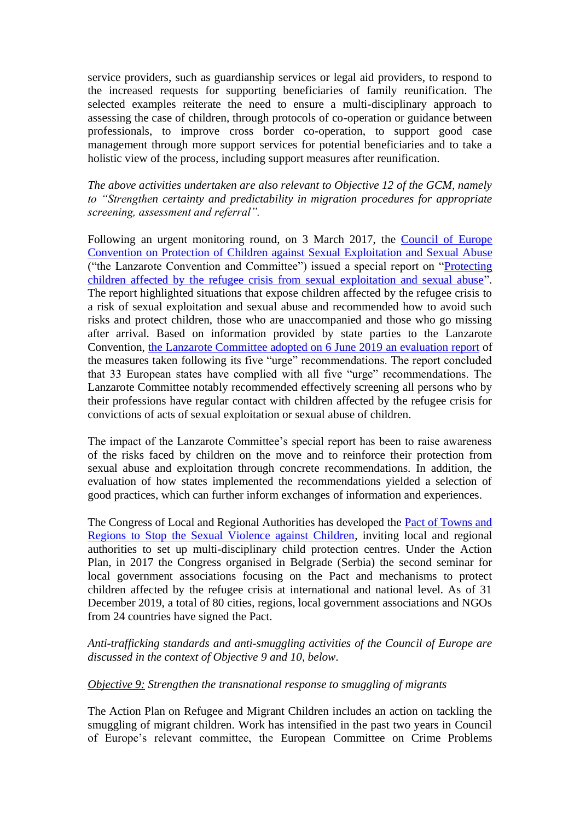service providers, such as guardianship services or legal aid providers, to respond to the increased requests for supporting beneficiaries of family reunification. The selected examples reiterate the need to ensure a multi-disciplinary approach to assessing the case of children, through protocols of co-operation or guidance between professionals, to improve cross border co-operation, to support good case management through more support services for potential beneficiaries and to take a holistic view of the process, including support measures after reunification.

*The above activities undertaken are also relevant to Objective 12 of the GCM, namely to "Strengthen certainty and predictability in migration procedures for appropriate screening, assessment and referral".* 

Following an urgent monitoring round, on 3 March 2017, the Council of Europe [Convention on Protection of Children against Sexual Exploitation and Sexual Abuse](https://ec.europa.eu/anti-trafficking/legislation-and-case-law-international-legislation-council-europe/council-europe-convention_en) ("the Lanzarote Convention and Committee") issued a special report on ["Protecting](https://rm.coe.int/special-report-protecting-children-affected-by-the-refugee-crisis-from/16807912a5)  [children affected by the refugee crisis from sexual exploitation and sexual abuse"](https://rm.coe.int/special-report-protecting-children-affected-by-the-refugee-crisis-from/16807912a5). The report highlighted situations that expose children affected by the refugee crisis to a risk of sexual exploitation and sexual abuse and recommended how to avoid such risks and protect children, those who are unaccompanied and those who go missing after arrival. Based on information provided by state parties to the Lanzarote Convention, [the Lanzarote Committee adopted on 6 June 2019 an evaluation report](https://rm.coe.int/evaluation-of-the-follow-up-given-by-parties-to-the-5-urge-recommendat/168094d354) of the measures taken following its five "urge" recommendations. The report concluded that 33 European states have complied with all five "urge" recommendations. The Lanzarote Committee notably recommended effectively screening all persons who by their professions have regular contact with children affected by the refugee crisis for convictions of acts of sexual exploitation or sexual abuse of children.

The impact of the Lanzarote Committee's special report has been to raise awareness of the risks faced by children on the move and to reinforce their protection from sexual abuse and exploitation through concrete recommendations. In addition, the evaluation of how states implemented the recommendations yielded a selection of good practices, which can further inform exchanges of information and experiences.

The Congress of Local and Regional Authorities has developed the **Pact of Towns and** [Regions to Stop the Sexual Violence against Children,](http://www.congress-pact1in5.eu/en/10-the-congress-of-local-and-regional-authorities-of-/17-pact-of-towns-and-regions-to-stop-sexual-violence-against-children.html) inviting local and regional authorities to set up multi-disciplinary child protection centres. Under the Action Plan, in 2017 the Congress organised in Belgrade (Serbia) the second seminar for local government associations focusing on the Pact and mechanisms to protect children affected by the refugee crisis at international and national level. As of 31 December 2019, a total of 80 cities, regions, local government associations and NGOs from 24 countries have signed the Pact.

*Anti-trafficking standards and anti-smuggling activities of the Council of Europe are discussed in the context of Objective 9 and 10, below.* 

### *Objective 9: Strengthen the transnational response to smuggling of migrants*

The Action Plan on Refugee and Migrant Children includes an action on tackling the smuggling of migrant children. Work has intensified in the past two years in Council of Europe's relevant committee, the European Committee on Crime Problems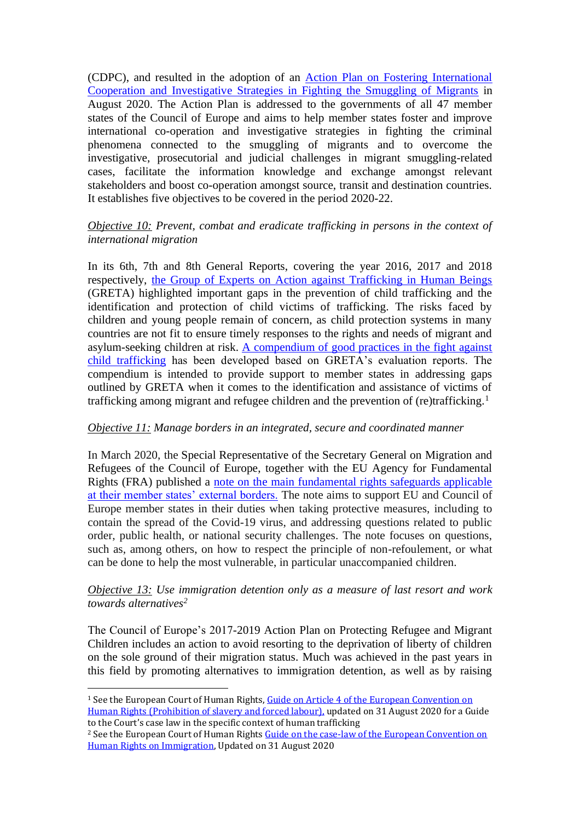(CDPC), and resulted in the adoption of an [Action Plan on Fostering International](https://www.coe.int/en/web/cdpc/home/-/asset_publisher/2gsGo23sm8nj/content/council-of-europe-meeting-to-discuss-concrete-tools-to-prevent-and-combat-the-smuggling-of-migrants?inheritRedirect=false&redirect=https%3A%2F%2Fwww.coe.int%2Fen%2Fweb%2Fcdpc%2Fhome%3Fp_p_id%3D101_INSTANCE_2gsGo23sm8nj%26p_p_lifecycle%3D0%26p_p_state%3Dnormal%26p_p_mode%3Dview%26p_p_col_id%3Dcolumn-1%26p_p_col_count%3D6)  [Cooperation and Investigative Strategies in Fighting the Smuggling of Migrants](https://www.coe.int/en/web/cdpc/home/-/asset_publisher/2gsGo23sm8nj/content/council-of-europe-meeting-to-discuss-concrete-tools-to-prevent-and-combat-the-smuggling-of-migrants?inheritRedirect=false&redirect=https%3A%2F%2Fwww.coe.int%2Fen%2Fweb%2Fcdpc%2Fhome%3Fp_p_id%3D101_INSTANCE_2gsGo23sm8nj%26p_p_lifecycle%3D0%26p_p_state%3Dnormal%26p_p_mode%3Dview%26p_p_col_id%3Dcolumn-1%26p_p_col_count%3D6) in August 2020. The Action Plan is addressed to the governments of all 47 member states of the Council of Europe and aims to help member states foster and improve international co-operation and investigative strategies in fighting the criminal phenomena connected to the smuggling of migrants and to overcome the investigative, prosecutorial and judicial challenges in migrant smuggling-related cases, facilitate the information knowledge and exchange amongst relevant stakeholders and boost co-operation amongst source, transit and destination countries. It establishes five objectives to be covered in the period 2020-22.

## *Objective 10: Prevent, combat and eradicate trafficking in persons in the context of international migration*

In its 6th, 7th and 8th General Reports, covering the year 2016, 2017 and 2018 respectively, [the Group of Experts on Action against Trafficking in Human Beings](https://www.coe.int/en/web/anti-human-trafficking/greta) (GRETA) highlighted important gaps in the prevention of child trafficking and the identification and protection of child victims of trafficking. The risks faced by children and young people remain of concern, as child protection systems in many countries are not fit to ensure timely responses to the rights and needs of migrant and asylum-seeking children at risk. [A compendium of good practices in the fight against](https://rm.coe.int/16806af624)  [child trafficking](https://rm.coe.int/16806af624) has been developed based on GRETA's evaluation reports. The compendium is intended to provide support to member states in addressing gaps outlined by GRETA when it comes to the identification and assistance of victims of trafficking among migrant and refugee children and the prevention of (re)trafficking.<sup>1</sup>

# *Objective 11: Manage borders in an integrated, secure and coordinated manner*

In March 2020, the [Special Representative of the Secretary General on Migration and](https://www.coe.int/en/web/special-representative-secretary-general-migration-refugees/home)  [Refugees of the Council of Europe,](https://www.coe.int/en/web/special-representative-secretary-general-migration-refugees/home) together with the EU Agency for Fundamental Rights [\(FRA\)](https://fra.europa.eu/en/about-fra?lang%5B0%5D=en) published a [note on the main fundamental rights safeguards applicable](https://rm.coe.int/fundamental-rights-of-refugees-and-migrants-at-european-borders/16809e0fdf)  [at their member states' external borders.](https://rm.coe.int/fundamental-rights-of-refugees-and-migrants-at-european-borders/16809e0fdf) The note aims to support EU and Council of Europe member states in their duties when taking protective measures, including to contain the spread of the Covid-19 virus, and addressing questions related to public order, public health, or national security challenges. The note focuses on questions, such as, among others, on how to respect the principle of non-refoulement, or what can be done to help the most vulnerable, in particular unaccompanied children.

### *Objective 13: Use immigration detention only as a measure of last resort and work towards alternatives<sup>2</sup>*

The Council of Europe's 2017-2019 Action Plan on Protecting Refugee and Migrant Children includes an action to avoid resorting to the deprivation of liberty of children on the sole ground of their migration status. Much was achieved in the past years in this field by promoting alternatives to immigration detention, as well as by raising

<sup>&</sup>lt;sup>1</sup> See the European Court of Human Rights, Guide on Article 4 of the European Convention on [Human Rights \(Prohibition of slavery and forced labour\),](https://www.echr.coe.int/Documents/Guide_Art_4_ENG.pdf) updated on 31 August 2020 for a Guide to the Court's case law in the specific context of human trafficking

<sup>&</sup>lt;sup>2</sup> See the European Court of Human Rights Guide on the case-law of the European Convention on [Human Rights on Immigration,](https://www.echr.coe.int/Documents/Guide_Immigration_ENG.pdf) Updated on 31 August 2020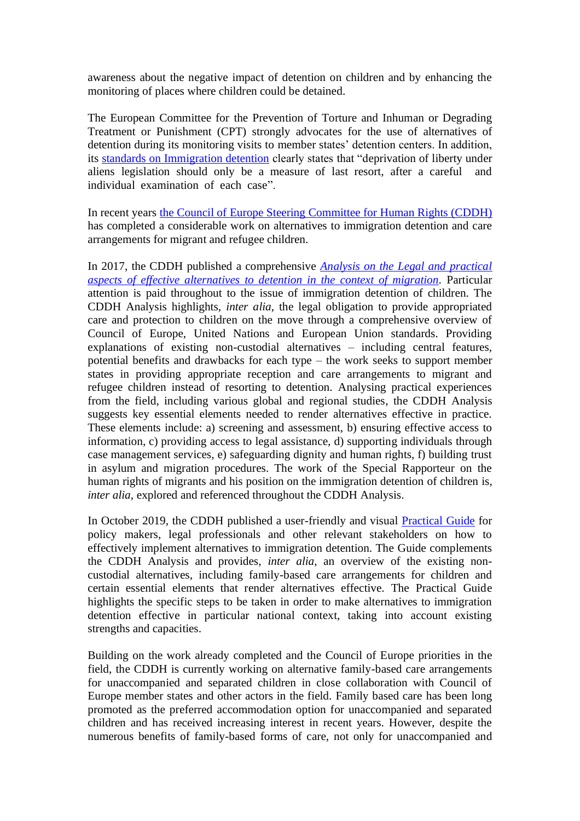awareness about the negative impact of detention on children and by enhancing the monitoring of places where children could be detained.

The European Committee for the Prevention of Torture and Inhuman or Degrading Treatment or Punishment (CPT) strongly advocates for the use of alternatives of detention during its monitoring visits to member states' detention centers. In addition, its [standards on Immigration detention](https://rm.coe.int/16806fbf12) clearly states that "deprivation of liberty under aliens legislation should only be a measure of last resort, after a careful and individual examination of each case".

In recent years [the Council of Europe Steering Committee for Human Rights \(CDDH\)](https://www.coe.int/en/web/human-rights-intergovernmental-cooperation/home) has completed a considerable work on alternatives to immigration detention and care arrangements for migrant and refugee children.

In 2017, the CDDH published a comprehensive *[Analysis on the Legal and practical](https://rm.coe.int/steering-committee-for-human-rights-cddh-analysis-of-the-legal-and-pra/1680780997)  [aspects of effective alternatives to detention in the context of migration.](https://rm.coe.int/steering-committee-for-human-rights-cddh-analysis-of-the-legal-and-pra/1680780997)* Particular attention is paid throughout to the issue of immigration detention of children. The CDDH Analysis highlights, *inter alia*, the legal obligation to provide appropriated care and protection to children on the move through a comprehensive overview of Council of Europe, United Nations and European Union standards. Providing explanations of existing non-custodial alternatives – including central features, potential benefits and drawbacks for each type – the work seeks to support member states in providing appropriate reception and care arrangements to migrant and refugee children instead of resorting to detention. Analysing practical experiences from the field, including various global and regional studies, the CDDH Analysis suggests key essential elements needed to render alternatives effective in practice. These elements include: a) screening and assessment, b) ensuring effective access to information, c) providing access to legal assistance, d) supporting individuals through case management services, e) safeguarding dignity and human rights, f) building trust in asylum and migration procedures. The work of the Special Rapporteur on the human rights of migrants and his position on the immigration detention of children is, *inter alia*, explored and referenced throughout the CDDH Analysis.

In October 2019, the CDDH published a user-friendly and visual **Practical Guide** for policy makers, legal professionals and other relevant stakeholders on how to effectively implement alternatives to immigration detention. The Guide complements the CDDH Analysis and provides, *inter alia*, an overview of the existing noncustodial alternatives, including family-based care arrangements for children and certain essential elements that render alternatives effective. The Practical Guide highlights the specific steps to be taken in order to make alternatives to immigration detention effective in particular national context, taking into account existing strengths and capacities.

Building on the work already completed and the Council of Europe priorities in the field, the CDDH is currently working on alternative family-based care arrangements for unaccompanied and separated children in close collaboration with Council of Europe member states and other actors in the field. Family based care has been long promoted as the preferred accommodation option for unaccompanied and separated children and has received increasing interest in recent years. However, despite the numerous benefits of family-based forms of care, not only for unaccompanied and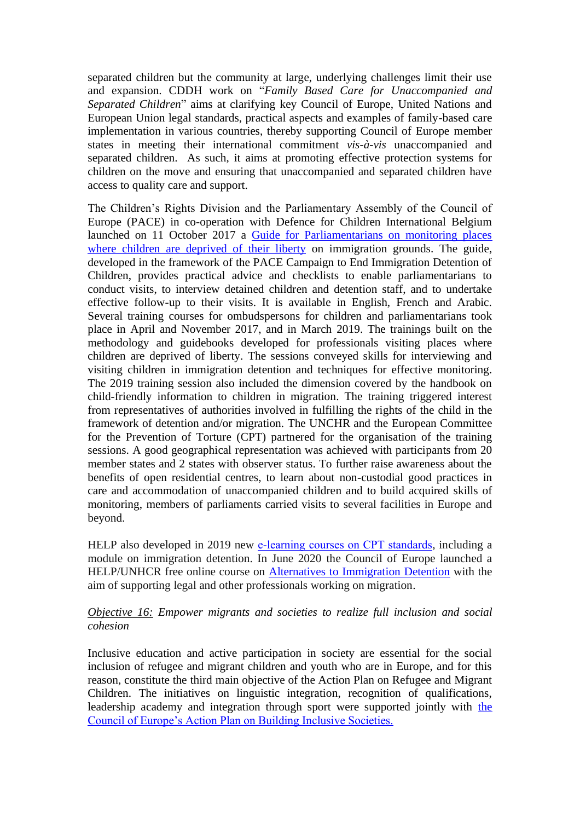separated children but the community at large, underlying challenges limit their use and expansion. CDDH work on "*Family Based Care for Unaccompanied and Separated Children*" aims at clarifying key Council of Europe, United Nations and European Union legal standards, practical aspects and examples of family-based care implementation in various countries, thereby supporting Council of Europe member states in meeting their international commitment *vis-à-vis* unaccompanied and separated children. As such, it aims at promoting effective protection systems for children on the move and ensuring that unaccompanied and separated children have access to quality care and support.

The Children's Rights Division and the Parliamentary Assembly of the Council of Europe (PACE) in co-operation with Defence for Children International Belgium launched on 11 October 2017 a [Guide for Parliamentarians on monitoring places](https://edoc.coe.int/en/migration/7526-visiting-places-where-children-are-deprived-of-their-liberty-as-a-result-of-immigration-procedures-guide-for-parliamentarians.html)  [where children are deprived of their liberty](https://edoc.coe.int/en/migration/7526-visiting-places-where-children-are-deprived-of-their-liberty-as-a-result-of-immigration-procedures-guide-for-parliamentarians.html) on immigration grounds. The guide, developed in the framework of the PACE Campaign to End Immigration Detention of Children, provides practical advice and checklists to enable parliamentarians to conduct visits, to interview detained children and detention staff, and to undertake effective follow-up to their visits. It is available in English, French and Arabic. Several training courses for ombudspersons for children and parliamentarians took place in April and November 2017, and in March 2019. The trainings built on the methodology and guidebooks developed for professionals visiting places where children are deprived of liberty. The sessions conveyed skills for interviewing and visiting children in immigration detention and techniques for effective monitoring. The 2019 training session also included the dimension covered by the handbook on child-friendly information to children in migration. The training triggered interest from representatives of authorities involved in fulfilling the rights of the child in the framework of detention and/or migration. The UNCHR and the European Committee for the Prevention of Torture (CPT) partnered for the organisation of the training sessions. A good geographical representation was achieved with participants from 20 member states and 2 states with observer status. To further raise awareness about the benefits of open residential centres, to learn about non-custodial good practices in care and accommodation of unaccompanied children and to build acquired skills of monitoring, members of parliaments carried visits to several facilities in Europe and beyond.

HELP also developed in 2019 new [e-learning courses on CPT standards](https://www.coe.int/en/web/cpt/help-online-course), including a module on immigration detention. In June 2020 the Council of Europe launched a HELP/UNHCR free online course on [Alternatives to Immigration Detention](https://rm.coe.int/help-course-brief-alternatives-to-immigration-detention/16809ee293) with the aim of supporting legal and other professionals working on migration.

## *Objective 16: Empower migrants and societies to realize full inclusion and social cohesion*

Inclusive education and active participation in society are essential for the social inclusion of refugee and migrant children and youth who are in Europe, and for this reason, constitute the third main objective of the Action Plan on Refugee and Migrant Children. The initiatives on linguistic integration, recognition of qualifications, leadership academy and integration through sport were supported jointly with the [Council of Europe's Action Plan on Building Inclusive Societies.](https://search.coe.int/cm/Pages/result_details.aspx?ObjectID=09000016805c1a1f)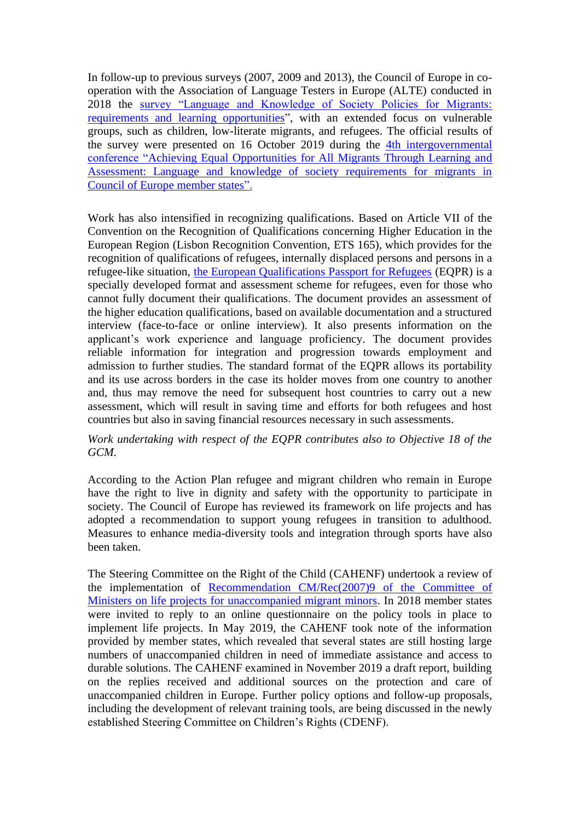In follow-up to previous surveys (2007, 2009 and 2013), the Council of Europe in cooperation with the Association of Language Testers in Europe (ALTE) conducted in 2018 the [survey "Language and Knowledge of Society Policies for Migrants:](https://rm.coe.int/the-2018-council-of-europe-and-alte-survey-on-language-and-knowledge-o/16809c88f9)  [requirements and learning opportunities"](https://rm.coe.int/the-2018-council-of-europe-and-alte-survey-on-language-and-knowledge-o/16809c88f9), with an extended focus on vulnerable groups, such as children, low-literate migrants, and refugees. The official results of the survey were presented on 16 October 2019 during the [4th intergovernmental](https://www.coe.int/en/web/lang-migrants/4th-intergovernmental-conference)  [conference "Achieving Equal Opportunities for All Migrants Through Learning and](https://www.coe.int/en/web/lang-migrants/4th-intergovernmental-conference)  [Assessment: Language and knowledge of society requirements for migrants in](https://www.coe.int/en/web/lang-migrants/4th-intergovernmental-conference)  [Council of Europe member states".](https://www.coe.int/en/web/lang-migrants/4th-intergovernmental-conference)

Work has also intensified in recognizing qualifications. Based on Article VII of the Convention on the Recognition of Qualifications concerning Higher Education in the European Region (Lisbon Recognition Convention, ETS 165), which provides for the recognition of qualifications of refugees, internally displaced persons and persons in a refugee-like situation, [the European Qualifications Passport for Refugees](https://www.coe.int/en/web/education/recognition-of-refugees-qualifications) (EQPR) is a specially developed format and assessment scheme for refugees, even for those who cannot fully document their qualifications. The document provides an assessment of the higher education qualifications, based on available documentation and a structured interview (face-to-face or online interview). It also presents information on the applicant's work experience and language proficiency. The document provides reliable information for integration and progression towards employment and admission to further studies. The standard format of the EQPR allows its portability and its use across borders in the case its holder moves from one country to another and, thus may remove the need for subsequent host countries to carry out a new assessment, which will result in saving time and efforts for both refugees and host countries but also in saving financial resources necessary in such assessments.

## *Work undertaking with respect of the EQPR contributes also to Objective 18 of the GCM.*

According to the Action Plan refugee and migrant children who remain in Europe have the right to live in dignity and safety with the opportunity to participate in society. The Council of Europe has reviewed its framework on life projects and has adopted a recommendation to support young refugees in transition to adulthood. Measures to enhance media-diversity tools and integration through sports have also been taken.

The Steering Committee on the Right of the Child (CAHENF) undertook a review of the implementation of [Recommendation CM/Rec\(2007\)9](https://www.coe.int/t/dg3/migration/archives/Source/Recommendations/Recommendation%20CM%20Rec_2007_9_en.pdf) of the Committee of [Ministers on life projects for unaccompanied migrant minors.](https://www.coe.int/t/dg3/migration/archives/Source/Recommendations/Recommendation%20CM%20Rec_2007_9_en.pdf) In 2018 member states were invited to reply to an online questionnaire on the policy tools in place to implement life projects. In May 2019, the CAHENF took note of the information provided by member states, which revealed that several states are still hosting large numbers of unaccompanied children in need of immediate assistance and access to durable solutions. The CAHENF examined in November 2019 a draft report, building on the replies received and additional sources on the protection and care of unaccompanied children in Europe. Further policy options and follow-up proposals, including the development of relevant training tools, are being discussed in the newly established Steering Committee on Children's Rights (CDENF).